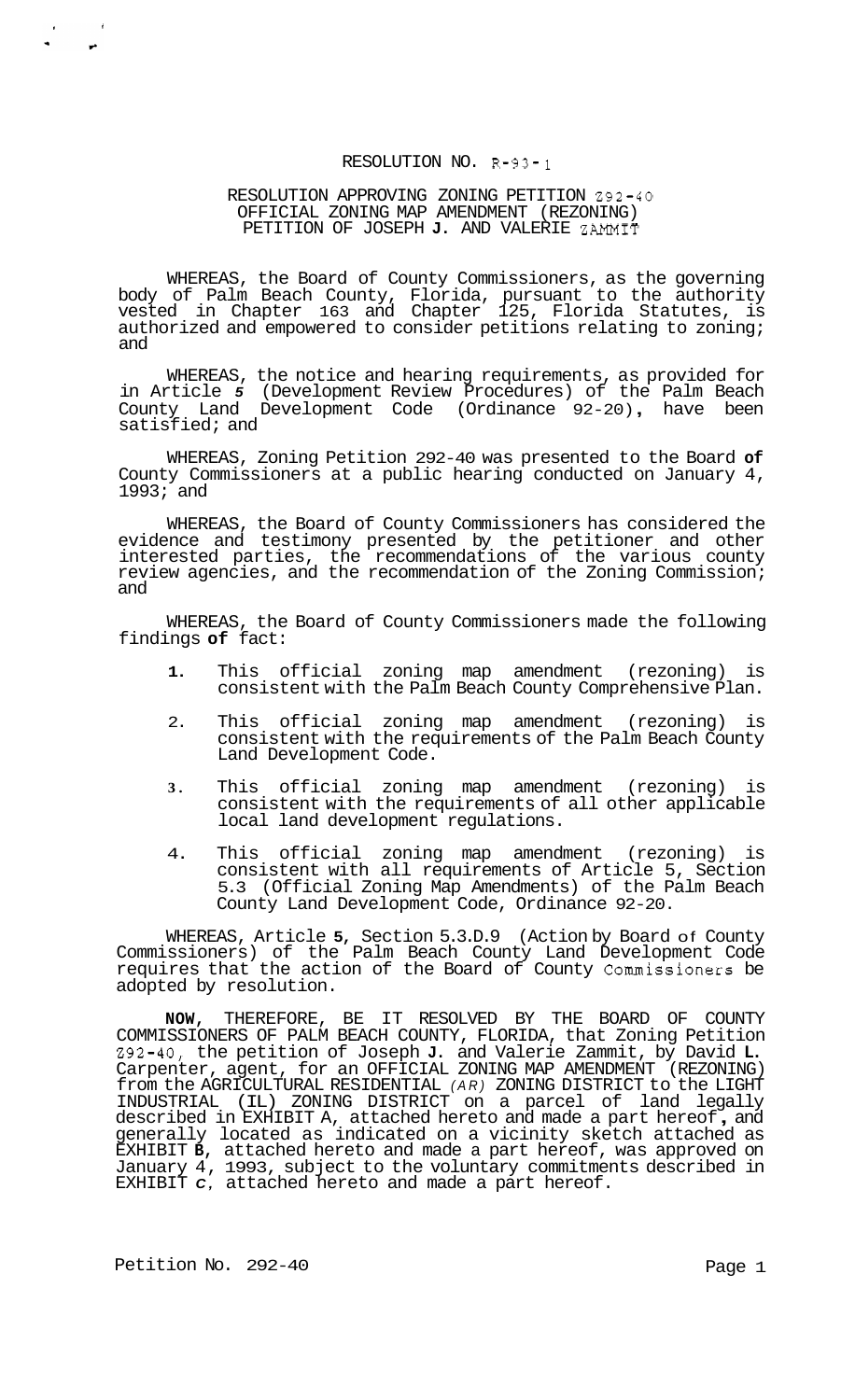#### RESOLUTION NO. R-93- **<sup>1</sup>**

### RESOLUTION APPROVING ZONING PETITION 292-40 OFFICIAL ZONING MAP AMENDMENT (REZONING) PETITION OF JOSEPH **J.** AND VALERIE ZAMMIT

WHEREAS, the Board of County Commissioners, as the governing body of Palm Beach County, Florida, pursuant to the authority vested in Chapter 163 and Chapter 125, Florida Statutes, is authorized and empowered to consider petitions relating to zoning; and

WHEREAS, the notice and hearing requirements, as provided for in Article *5* (Development Review Procedures) of the Palm Beach County Land Development Code (Ordinance 92-20) , have been satisfied; and

WHEREAS, Zoning Petition 292-40 was presented to the Board **of**  County Commissioners at a public hearing conducted on January 4,  $1993;$  and

WHEREAS, the Board of County Commissioners has considered the evidence and testimony presented by the petitioner and other interested parties, the recommendations of the various county review agencies, and the recommendation of the Zoning Commission; and

WHEREAS, the Board of County Commissioners made the following findings **of** fact:

- **1.** This official zoning map amendment (rezoning) is consistent with the Palm Beach County Comprehensive Plan.
- 2. This official zoning map amendment (rezoning) is consistent with the requirements of the Palm Beach County Land Development Code.
- **3.** This official zoning map amendment (rezoning) is consistent with the requirements of all other applicable local land development regulations.
- 4. This official zoning map amendment (rezoning) is consistent with all requirements of Article 5, Section 5.3 (Official Zoning Map Amendments) of the Palm Beach County Land Development Code, Ordinance 92-20.

WHEREAS, Article **5,** Section 5.3.D.9 (Action by Board of County Commissioners) of the Palm Beach County Land Development Code requires that the action of the Board of County Commissioners be adopted by resolution.

**NOW,** THEREFORE, BE IT RESOLVED BY THE BOARD OF COUNTY COMMISSIONERS OF PALM BEACH COUNTY, FLORIDA, that Zoning Petition 292-40, the petition of Joseph **J.** and Valerie Zammit, by David **L.**  Carpenter, agent, for an OFFICIAL ZONING MAP AMENDMENT (REZONING) from the AGRICULTURAL RESIDENTIAL *(AR)* ZONING DISTRICT to the LIGHT INDUSTRIAL (IL) ZONING DISTRICT on a parcel of land legally described in EXHIBIT A, attached hereto and made a part hereof , and generally located as indicated on a vicinity sketch attached as EXHIBIT **B,** attached hereto and made a part hereof, was approved on January 4, 1993, subject to the voluntary commitments described in EXHIBIT *C,* attached hereto and made a part hereof.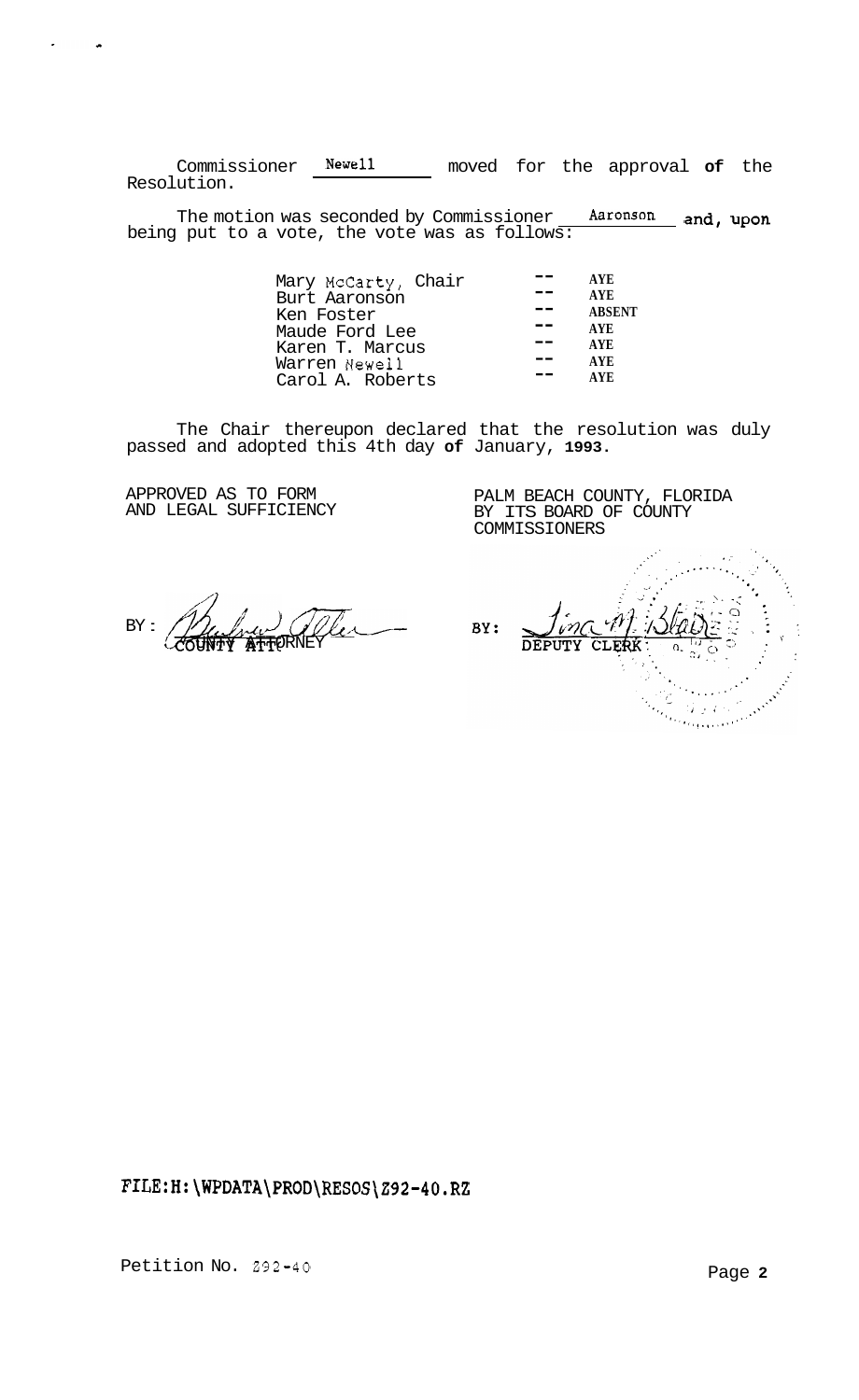Commissioner **Newel1** moved for the approval **of** the Resolution.

The motion was seconded by Commissioner **Aaronson** and, upon being put to a vote, the vote was as follows:

| Mary McCarty, Chair | <b>AYE</b>    |
|---------------------|---------------|
| Burt Aaronson       | <b>AYE</b>    |
| Ken Foster          | <b>ABSENT</b> |
| Maude Ford Lee      | <b>AYE</b>    |
| Karen T. Marcus     | <b>AYE</b>    |
| Warren Newell       | <b>AYE</b>    |
| Carol A. Roberts    | AVE.          |
|                     |               |

The Chair thereupon declared that the resolution was duly passed and adopted this 4th day **of** January, **1993.** 

APPROVED AS TO FORM AND LEGAL SUFFICIENCY

PALM BEACH COUNTY, FLORIDA BY ITS BOARD OF COUNTY COMMISSIONERS

 $BY = \frac{\partial Q}{\partial x}$ UNTY ATTORNEY

Q BY: DEPUTY CLERK 'n the Martin<br>Theodoria  $\mathcal{G}(\mathfrak{g},\mathfrak{g})$  .

**<FILE:H:\WPDATA\PROD\RESOS\Z92-4O.RZ>**

Petition No. 292-40 **Page 2 Page 2**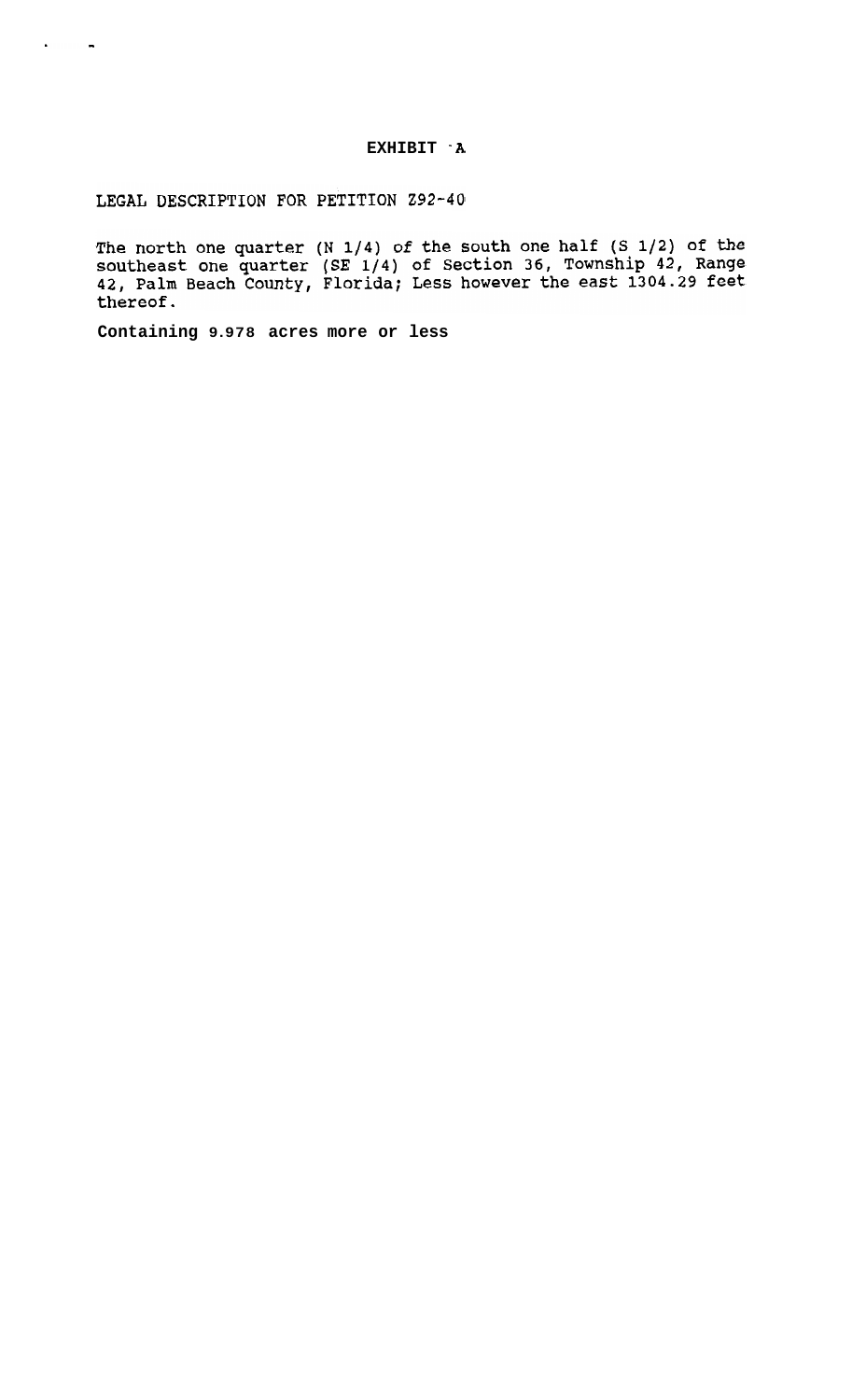LEGAL DESCRIPTION FOR PETITION Z92-40

<span id="page-2-0"></span> $\epsilon$  and  $\epsilon$ 

The north one quarter  $(N 1/4)$  of the south one half  $(S 1/2)$  of the southeast one quarter  $(SE 1/4)$  of Section 36, Township 42, Range 42, Palm Beach County, Florida; Less however the east 1304.29 feet thereof.

**Containing 9.978 acres more or less**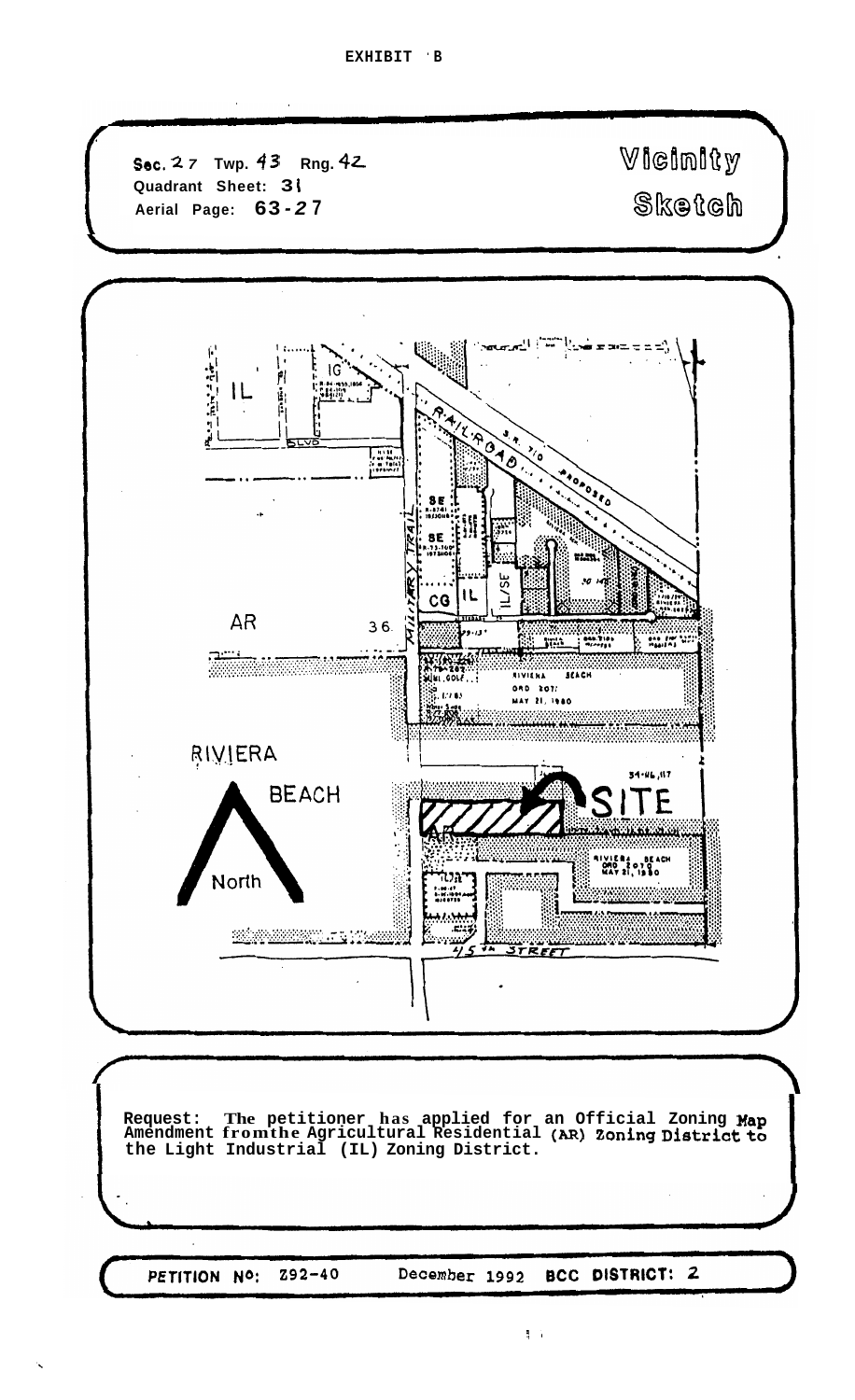**Sec.** 2 *7* Twp. 43 Rng. 42 Viginity **[Quadrant Sheet:](#page-2-0) 3 i Additional Page: 51**<br>Aerial Page: **63-27**  $\frac{1}{2}$  and  $\pm$   $\pm\frac{1}{2}$ Line of the set of the set of the set of the set of the set of the set of the set of the set of the set of the set of the set of the set of the set of the set of the set of the set of the set of the set of the set of the s ستا المصحة Ψ. hier fakter IG IL i.<br>Pi .8 :98 8E  $C<sub>G</sub>$ **AR**  $36.$ þ  $...$ Jill **PART END SALE**<br>Presiding ببيج WANT OF  $\frac{1}{2}$  and  $\frac{1}{2}$  and  $\frac{1}{2}$  and  $\frac{1}{2}$ NIVIERA 080 2071 36<br>39. H7 €5 MAY 21, 1980 RIVIERA  $34.44, 117$ **BEACH TE** UVIERA BEACI<br>DMO 2070<br>HAT 21, 1980 North <u> Marmoralist</u> 5 STREET **Request: The petitioner has applied for an Official Zoning Map Amendment fromthe Agricultural Residential** *(AR)* **Zoning District to the Light Industrial (IL) Zoning District.** 

PETITION NO:  $Z92 - 40$  December 1992

**BCC DISTRICT: 2**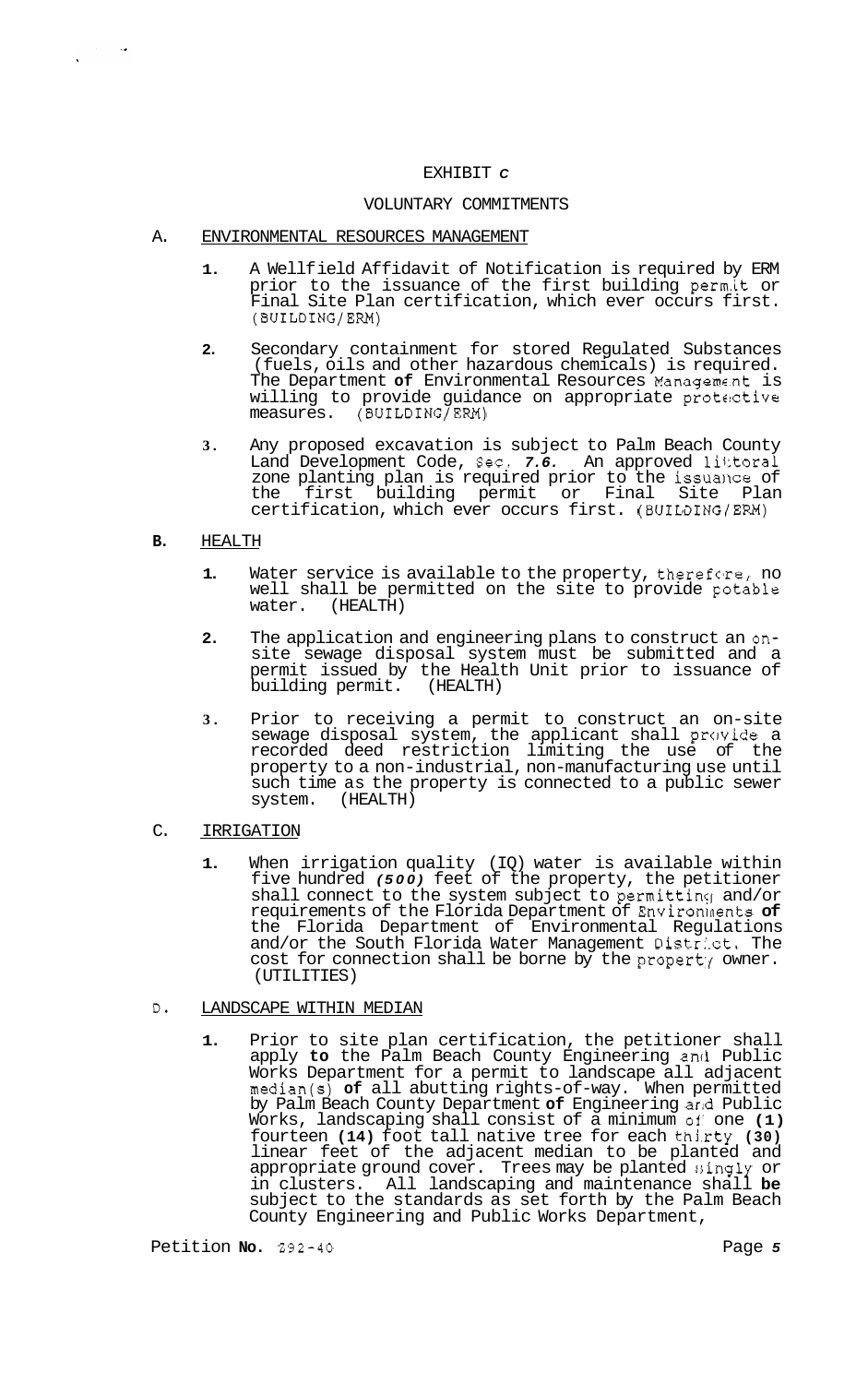### EXHIBIT *C*

## VOLUNTARY COMMITMENTS

- A. ENVIRONMENTAL RESOURCES MANAGEMENT
	- **1.**  A Wellf ield Affidavit of Notification is required by ERM prior to the issuance of the first building perm.it or Final Site Plan certification, which ever occurs first. (BUILDING/ERM)
	- **2.**  Secondary containment for stored Regulated Substances (fuels, oils and other hazardous chemicals) is required. The Department of Environmental Resources Management is willing to provide guidance on appropriate protective measures. (BUILDING/ERM)
	- **3.**  Any proposed excavation is subject to Palm Beach County Land Development Code, Sec. 7.6. An approved littoral zone planting plan is required prior to the issuance of the first building permit or Final Site Plan certification, which ever occurs first. (BUILDING/ERM)

# **B.** HEALTH

 $\sim 100$ 

- **1.** Water service is available to the property, therefore, no well shall be permitted on the site to provide potable water. (HEALTH)
- **2.** The application and engineering plans to construct an onsite sewage disposal system must be submitted and a permit issued by the Health Unit prior to issuance of building permit. (HEALTH)
- **3.** Prior to receiving a permit to construct an on-site sewage disposal system, the applicant shall provide a recorded deed restriction limiting the use of the property to a non-industrial, non-manufacturing use until such time as the property is connected to a public sewer system. (HEALTH)
- C. IRRIGATION
	- **1.** When irrigation quality (IQ) water is available within five hundred *(500)* feet of the property, the petitioner shall connect to the system subject to permitting and/or requirements of the Florida Department of Environlnents **of**  the Florida Department of Environmental Regulations and/or the South Florida Water Management District. The cost for connection shall be borne by the property owner. (UTILITIES)

# D. LANDSCAPE WITHIN MEDIAN

**1.** Prior to site plan certification, the petitioner shall apply **to** the Palm Beach County Engineering and Public Works Department for a permit to landscape all adjacent median(s) **of** all abutting rights-of-way. When permitted by Palm Beach County Department **of** Engineering arld Public Works, landscaping shall consist of a minimum **of'** one **(1)**  fourteen **(14)** foot tall native tree for each thj,rty **(30)**  linear feet of the adjacent median to be planted and appropriate ground cover. Trees may be planted singly or in clusters. All landscaping and maintenance shall **be**  subject to the standards as set forth by the Palm Beach County Engineering and Public Works Department,